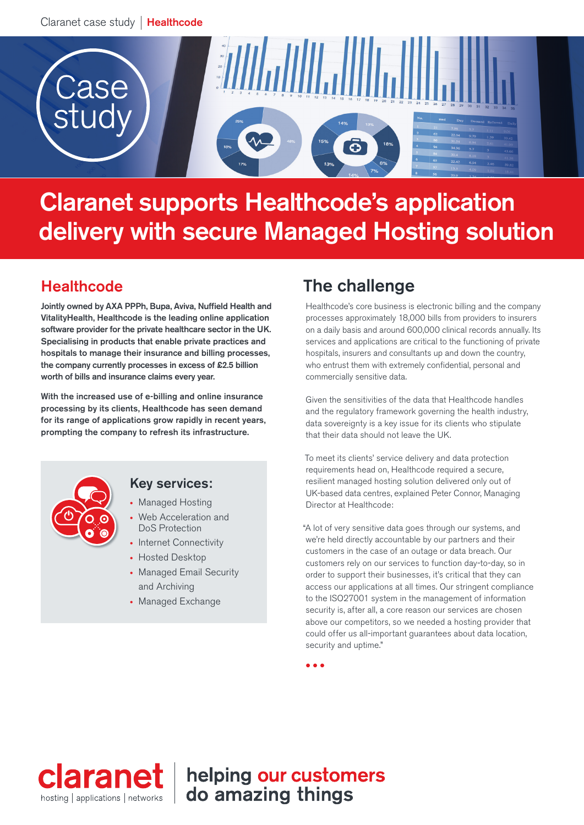

# Claranet supports Healthcode's application delivery with secure Managed Hosting solution

# **Healthcode**

Jointly owned by AXA PPPh, Bupa, Aviva, Nuffield Health and VitalityHealth, Healthcode is the leading online application software provider for the private healthcare sector in the UK. Specialising in products that enable private practices and hospitals to manage their insurance and billing processes, the company currently processes in excess of £2.5 billion worth of bills and insurance claims every year.

With the increased use of e-billing and online insurance processing by its clients, Healthcode has seen demand for its range of applications grow rapidly in recent years, prompting the company to refresh its infrastructure.



### Key services:

- Managed Hosting
- Web Acceleration and DoS Protection
- Internet Connectivity
- Hosted Desktop
- Managed Email Security and Archiving
- Managed Exchange

# The challenge

Healthcode's core business is electronic billing and the company processes approximately 18,000 bills from providers to insurers on a daily basis and around 600,000 clinical records annually. Its services and applications are critical to the functioning of private hospitals, insurers and consultants up and down the country, who entrust them with extremely confidential, personal and commercially sensitive data.

Given the sensitivities of the data that Healthcode handles and the regulatory framework governing the health industry, data sovereignty is a key issue for its clients who stipulate that their data should not leave the UK.

To meet its clients' service delivery and data protection requirements head on, Healthcode required a secure, resilient managed hosting solution delivered only out of UK-based data centres, explained Peter Connor, Managing Director at Healthcode:

"A lot of very sensitive data goes through our systems, and we're held directly accountable by our partners and their customers in the case of an outage or data breach. Our customers rely on our services to function day-to-day, so in order to support their businesses, it's critical that they can access our applications at all times. Our stringent compliance to the ISO27001 system in the management of information security is, after all, a core reason our services are chosen above our competitors, so we needed a hosting provider that could offer us all-important guarantees about data location, security and uptime."

 $\bullet$   $\bullet$   $\bullet$ 



helping our customers do amazing things